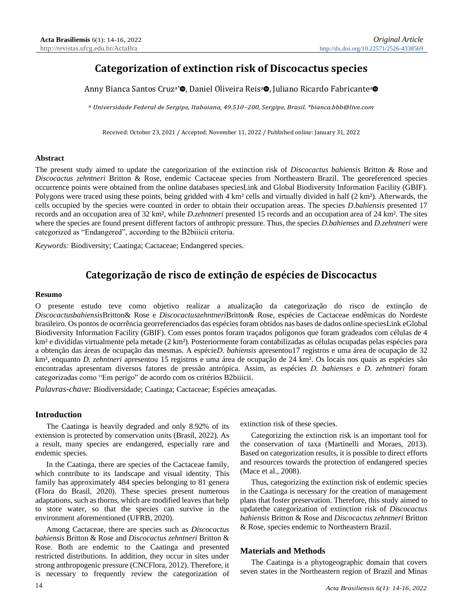# **Categorization of extinction risk of Discocactus species**

Anny B[i](http://orcid.org/0000-0003-4767-7302)anca Santos Cruz<sup>a\*</sup>®, Daniel Oliveira Reisª®, Juliano Ricardo Fabricanteª

a *Universidade Federal de Sergipe, Itabaiana, 49.510–200, Sergipe, Brasil. \*bianca.bbb@live.com*

Received: October 23, 2021 / Accepted: November 11, 2022 / Published online: January 31, 2022

# **Abstract**

The present study aimed to update the categorization of the extinction risk of *Discocactus bahiensis* Britton & Rose and *Discocactus zehntneri* Britton & Rose, endemic Cactaceae species from Northeastern Brazil. The georeferenced species occurrence points were obtained from the online databases speciesLink and Global Biodiversity Information Facility (GBIF). Polygons were traced using these points, being gridded with 4 km² cells and virtually divided in half (2 km²). Afterwards, the cells occupied by the species were counted in order to obtain their occupation areas. The species *D.bahiensis* presented 17 records and an occupation area of 32 km², while *D.zehntneri* presented 15 records and an occupation area of 24 km². The sites where the species are found present different factors of anthropic pressure. Thus, the species *D.bahienses* and *D.zehntneri* were categorized as "Endangered", according to the B2biiicii criteria.

*Keywords:* Biodiversity; Caatinga; Cactaceae; Endangered species.

# **Categorização de risco de extinção de espécies de Discocactus**

#### **Resumo**

O presente estudo teve como objetivo realizar a atualização da categorização do risco de extinção de *Discocactusbahiensis*Britton& Rose e *Discocactuszehntneri*Britton& Rose, espécies de Cactaceae endêmicas do Nordeste brasileiro. Os pontos de ocorrência georreferenciados das espécies foram obtidos nas bases de dados online speciesLink eGlobal Biodiversity Information Facility (GBIF). Com esses pontos foram traçados polígonos que foram gradeados com células de 4 km² e divididas virtualmente pela metade (2 km²). Posteriormente foram contabilizadas as células ocupadas pelas espécies para a obtenção das áreas de ocupação das mesmas. A espécie*D. bahiensis* apresentou17 registros e uma área de ocupação de 32 km², enquanto *D. zehntneri* apresentou 15 registros e uma área de ocupação de 24 km². Os locais nos quais as espécies são encontradas apresentam diversos fatores de pressão antrópica. Assim, as espécies *D. bahienses* e *D. zehntneri* foram categorizadas como "Em perigo" de acordo com os critérios B2biiicii.

*Palavras-chave:* Biodiversidade; Caatinga; Cactaceae; Espécies ameaçadas.

# **Introduction**

The Caatinga is heavily degraded and only 8.92% of its extension is protected by conservation units (Brasil, 2022). As a result, many species are endangered, especially rare and endemic species.

In the Caatinga, there are species of the Cactaceae family, which contribute to its landscape and visual identity. This family has approximately 484 species belonging to 81 genera (Flora do Brasil, 2020). These species present numerous adaptations, such as thorns, which are modified leaves that help to store water, so that the species can survive in the environment aforementioned (UFRB, 2020).

Among Cactaceae, there are species such as *Discocactus bahiensis* Britton & Rose and *Discocactus zehntneri* Britton & Rose. Both are endemic to the Caatinga and presented restricted distributions. In addition, they occur in sites under strong anthropogenic pressure (CNCFlora, 2012). Therefore, it is necessary to frequently review the categorization of

extinction risk of these species.

Categorizing the extinction risk is an important tool for the conservation of taxa (Martinelli and Moraes, 2013). Based on categorization results, it is possible to direct efforts and resources towards the protection of endangered species (Mace et al., 2008).

Thus, categorizing the extinction risk of endemic species in the Caatinga is necessary for the creation of management plans that foster preservation. Therefore, this study aimed to updatethe categorization of extinction risk of *Discocactus bahiensis* Britton & Rose and *Discocactus zehntneri* Britton & Rose, species endemic to Northeastern Brazil.

# **Materials and Methods**

The Caatinga is a phytogeographic domain that covers seven states in the Northeastern region of Brazil and Minas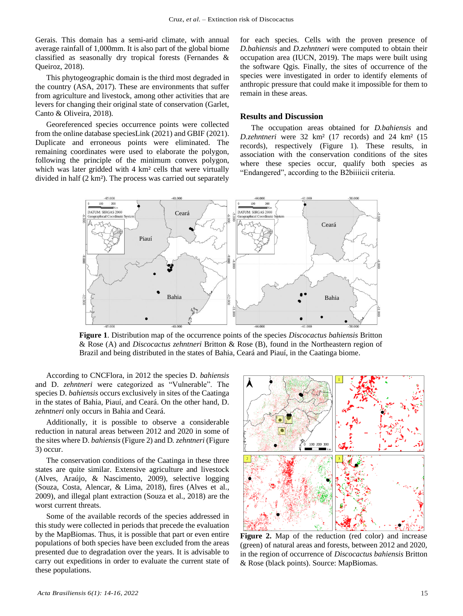Gerais. This domain has a semi-arid climate, with annual average rainfall of 1,000mm. It is also part of the global biome classified as seasonally dry tropical forests (Fernandes & Queiroz, 2018).

This phytogeographic domain is the third most degraded in the country (ASA, 2017). These are environments that suffer from agriculture and livestock, among other activities that are levers for changing their original state of conservation (Garlet, Canto & Oliveira, 2018).

Georeferenced species occurrence points were collected from the online database speciesLink (2021) and GBIF (2021). Duplicate and erroneous points were eliminated. The remaining coordinates were used to elaborate the polygon, following the principle of the minimum convex polygon, which was later gridded with 4 km<sup>2</sup> cells that were virtually divided in half (2 km²). The process was carried out separately

for each species. Cells with the proven presence of *D.bahiensis* and *D.zehntneri* were computed to obtain their occupation area (IUCN, 2019). The maps were built using the software Qgis. Finally, the sites of occurrence of the species were investigated in order to identify elements of anthropic pressure that could make it impossible for them to remain in these areas.

### **Results and Discussion**

The occupation areas obtained for *D.bahiensis* and *D.zehntneri* were 32 km² (17 records) and 24 km² (15 records), respectively (Figure 1). These results, in association with the conservation conditions of the sites where these species occur, qualify both species as "Endangered", according to the B2biiiicii criteria.



**Figure 1**. Distribution map of the occurrence points of the species *Discocactus bahiensis* Britton & Rose (A) and *Discocactus zehntneri* Britton & Rose (B), found in the Northeastern region of Brazil and being distributed in the states of Bahia, Ceará and Piauí, in the Caatinga biome.

According to CNCFlora, in 2012 the species D. *bahiensis* and D. *zehntneri* were categorized as "Vulnerable". The species D. *bahiensis* occurs exclusively in sites of the Caatinga in the states of Bahia, Piauí, and Ceará. On the other hand, D. *zehntneri* only occurs in Bahia and Ceará.

Additionally, it is possible to observe a considerable reduction in natural areas between 2012 and 2020 in some of the sites where D. *bahiensis*(Figure 2) and D*. zehntneri* (Figure 3) occur.

The conservation conditions of the Caatinga in these three states are quite similar. Extensive agriculture and livestock (Alves, Araújo, & Nascimento, 2009), selective logging (Souza, Costa, Alencar, & Lima, 2018), fires (Alves et al., 2009), and illegal plant extraction (Souza et al., 2018) are the worst current threats.

Some of the available records of the species addressed in this study were collected in periods that precede the evaluation by the MapBiomas. Thus, it is possible that part or even entire populations of both species have been excluded from the areas presented due to degradation over the years. It is advisable to carry out expeditions in order to evaluate the current state of these populations.



**Figure 2.** Map of the reduction (red color) and increase (green) of natural areas and forests, between 2012 and 2020, in the region of occurrence of *Discocactus bahiensis* Britton & Rose (black points). Source: MapBiomas.